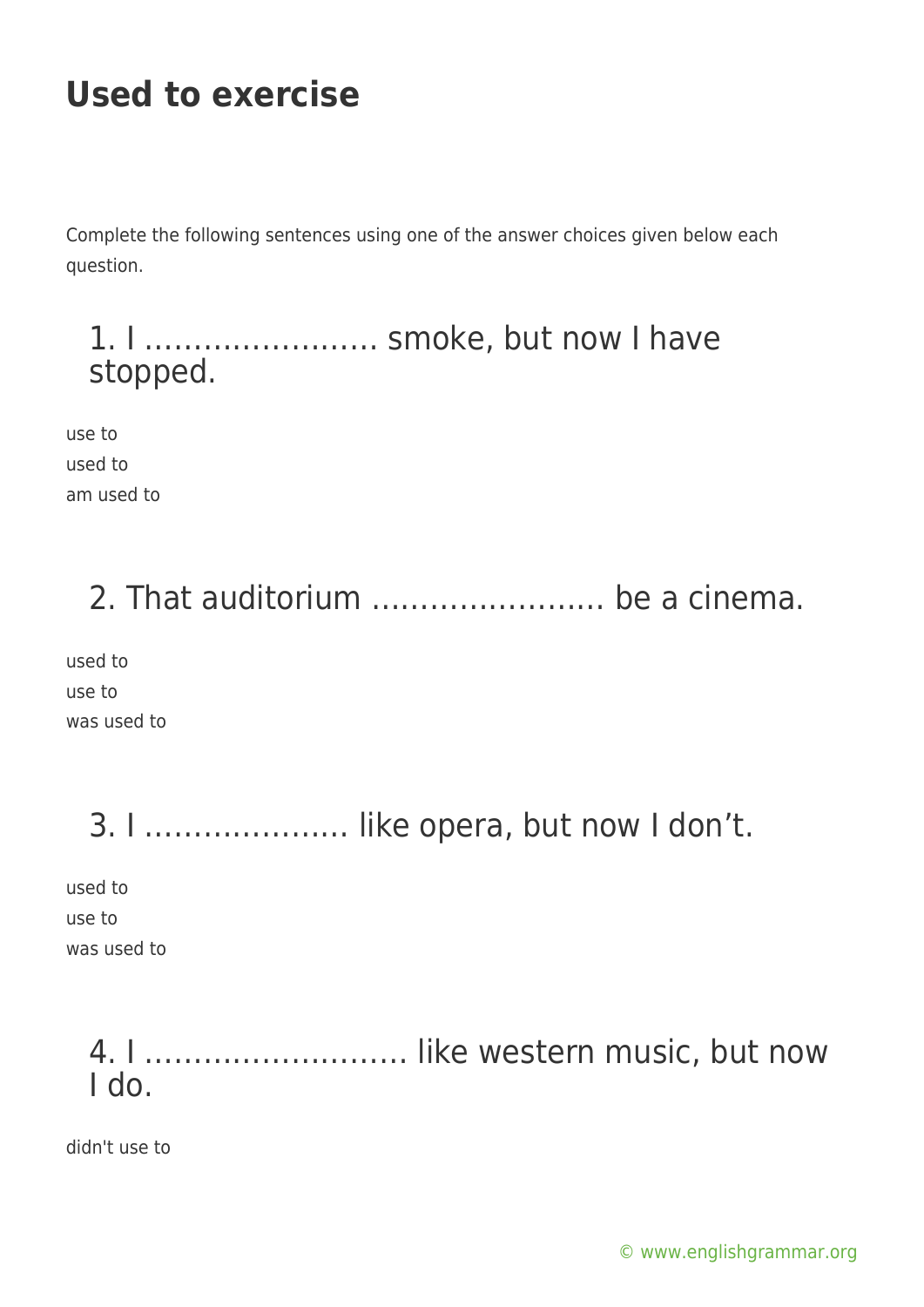# **Used to exercise**

Complete the following sentences using one of the answer choices given below each question.

### 1. I …………………… smoke, but now I have stopped.

use to used to am used to

# 2. That auditorium …………………… be a cinema.

used to use to was used to

# 3. I ………………… like opera, but now I don't.

used to use to was used to

### 4. I ……………………… like western music, but now I do.

didn't use to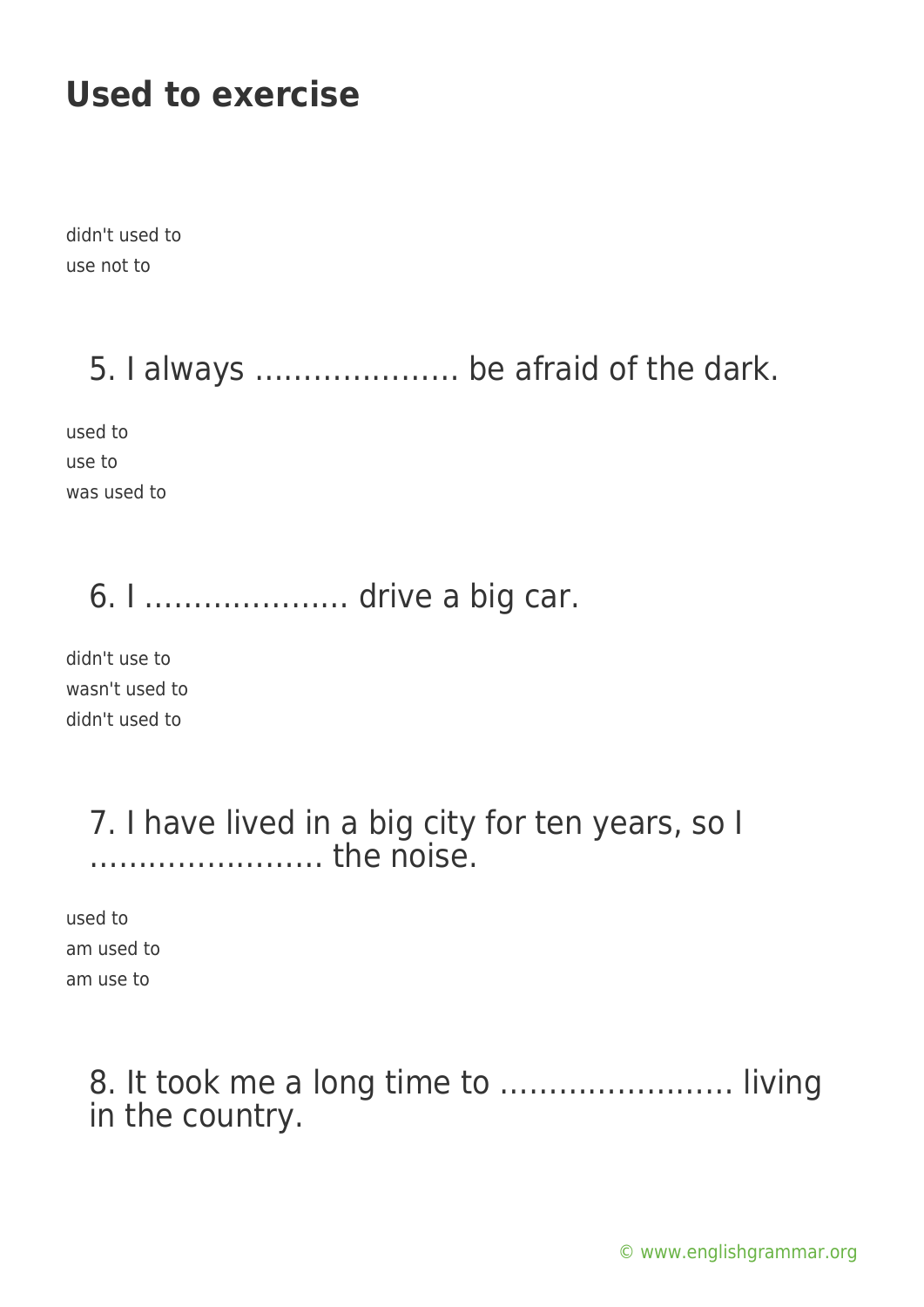# **Used to exercise**

didn't used to use not to

### 5. I always ………………… be afraid of the dark.

used to use to was used to

### 6. I ………………… drive a big car.

didn't use to wasn't used to didn't used to

#### 7. I have lived in a big city for ten years, so I …………………… the noise.

used to am used to am use to

### 8. It took me a long time to …………………… living in the country.